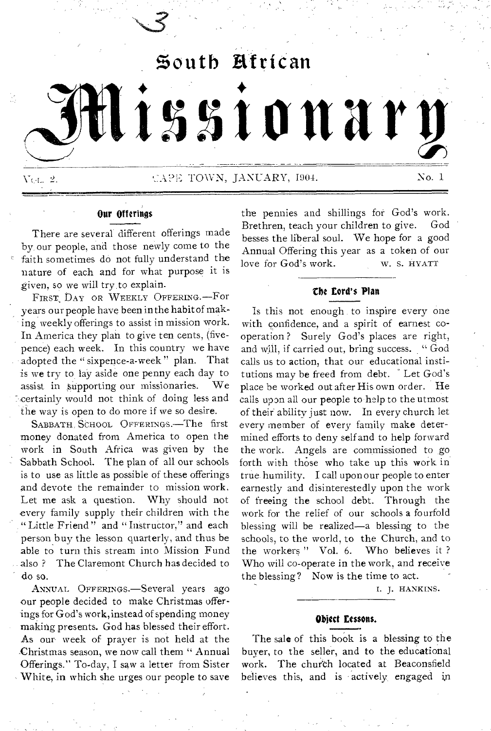

## Our Offerings

There are several different offerings made by, our people, and those newly come to the faith sometimes do not fully understand the nature of each and for what purpose it is given, so we will try to explain.

FIRST DAY OR WEEKLY OFFERING. -- For years our people have been in the habit of making weekly offerings to assist in mission work. In America they plan to give ten cents, (fivepence) each week. In this country we have adopted the " sixpence-a-week " plan. That is we try to lay aside one penny each day to assist in supporting our missionaries. We Ecertainly would not think of doing less and the way is open to do more if we so desire.

SABBATH, SCHOOL OFFERINGS.-The first money donated from America to open the work in South Africa was given by the Sabbath School. The plan of all our schools is to use as little as possible of these offerings *And* devote the remainder to mission work. Let me ask a question. Why should not every family supply their children with the " Little Friend " and " Instructor," and each person buy the lesson quarterly, and thus be able to turn this stream into Mission Fund also ? The Claremont Church has decided to do so.

ANNUAL OFFERINGS.—Several years ago our people decided to make Christmas offerings for God's work, instead of spending money making presents. God has blessed their effort. As our- week of prayer is not held at the Christmas season, we now call them " Annual Offerings." To-day, I saw a letter from Sister White, in which she urges our people to save

the pennies and shillings for God's work. Brethren, teach your children to give. God besses the liberal soul. We hope for a good Annual Offering this year as a token of our love for God's work. W. S. HYATT

## the Lord's Plan

Is this not enough to inspire every one with confidence, and a spirit of earnest cooperation ? Surely God's places are right, and will, if carried out, bring success. " God calls us to action, that our educational institutions may be freed from debt. Let God's place be worked out after His own order. He calls upon all our people to help to the utmost of their ability just now. In every church let every member of every family make determined efforts to deny self and to help forward the work. Angels are commissioned to go forth with those who take up this work in true humility. I call upon our people to enter earnestly and disinterestedly upon the work of freeing the school debt. Through the work for the relief of our schools a fourfold blessing will be realized—a blessing to the schools, to the world, to the Church, and to the workers " Vol. 6. Who believes it ? Who will co-operate in the work, and receive the blessing? Now is the time to act.

I. J. HANKINS.

#### Object Lessons.

The sale of this book is a blessing to the buyer, to the seller, and to the educational work. The church located at Beaconsfield believes this, and is actively engaged in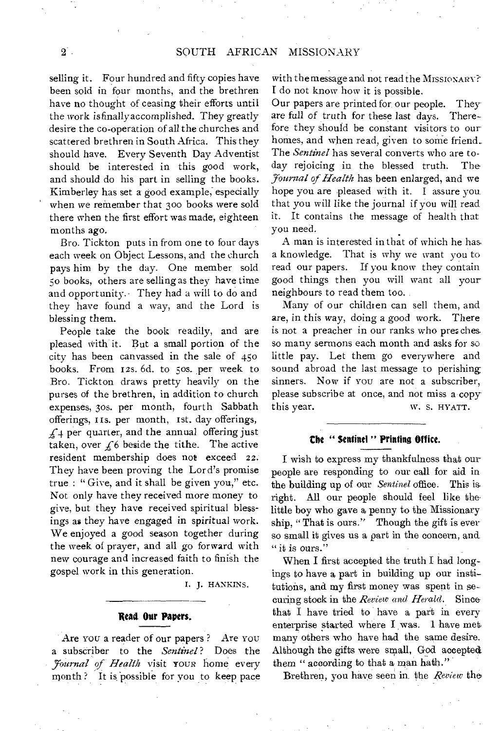selling it. Four hundred and fifty copies have been sold in four months, and the brethren have no thought of ceasing their efforts until the work isfinallyaccomplished. They greatly desire the co-operation of all the churches and scattered brethren in South Africa. This they should have. Every Seventh Day Adventist should be interested in this good work, and should do his part in selling the books. Kimberley has set a good example; especially when we remember that 30o books were sold there when the first effort was made, eighteen months ago.

Bro. Tickton puts in from one to four days each week on Object Lessons, and the church pays him by the day. One member sold 5o books, others are selling as they have time and opportunity. They had a will to do and they have found a way, and the Lord is blessing them.

People take the book readily, and are pleased with it. But a small portion of the city has been canvassed in the sale of 45o books. From 12s. 6d. to 5os. per week to Bro. Tickton draws pretty heavily on the purses of the brethren, in addition to church expenses, 3os. per month, fourth Sabbath offerings, xis. per month, 1st. day offerings,  $\angle$  4 per quarter, and the annual offering just taken, over  $f_6$  beside the tithe. The active resident membership does not exceed 22. They have been proving the Lord's promise true : " Give, and it shall be given you," etc. Not only have they received more money to give, but they have received spiritual blessings as they have engaged in spiritual work. We enjoyed a good season together during the week of prayer, and all go forward with new courage and increased faith to finish the gospel work in this generation.

I. J. HANKINS.

#### **Read. Our Papers.**

Are YOU a reader of our papers ? Are YOU a subseriber to the *Sentinel?* Does the *journal of Health* visit YOUR home every month ? It is possible for you to keep pace with the message and not read the MISSIONARY? I do not know how it is possible.

Our papers are printed for, our people. They are full *of* truth for these last days. Therefore they should be constant visitors to our homes, and when read, given to some friend.. The *Sentinel* has several converts who are today rejoicing in the blessed truth. The *Yournal of Health* has been enlarged, and we hope you are pleased with it. I assure you that you will like the journal if you will read it. It contains the message of health that you need.

A man is interested in that of which he has, a knowledge. That is why we want you to read our papers. If you know they contain good things then you will want all your neighbours to read them too.

Many of our children can sell them, and are, in this way, doing a good work. There is not a preacher in our ranks who preaches. somany sermons each month and asks for so little pay. Let them go everywhere and sound abroad the last message to perishing sinners. Now if YOU are not a subscriber, please subscribe at once, and not miss a copy this year. W. S. HYATT.

#### **the " Sentinel " Printing Office.**

I wish to express my thankfulness that our people are responding to our call for aid in the building up of our *Sentinel* office. This is All our people should feel like thelittle boy who gave a penny to the Missionary ship, "That is ours." Though the gift is ever so small it gives us a part in the concern, and " it is ours."

When I first accepted the truth I had longings to have a part in building up our institutions, and my first money was spent in securing stock in the *Review and Herald.* Since that I have tried to have a part in every enterprise started where I was. 1 have met, many others who have had the same desire. Although the gifts were small, God accepted them " according to that a man hath."

Brethren, you have seen in the *Review* the•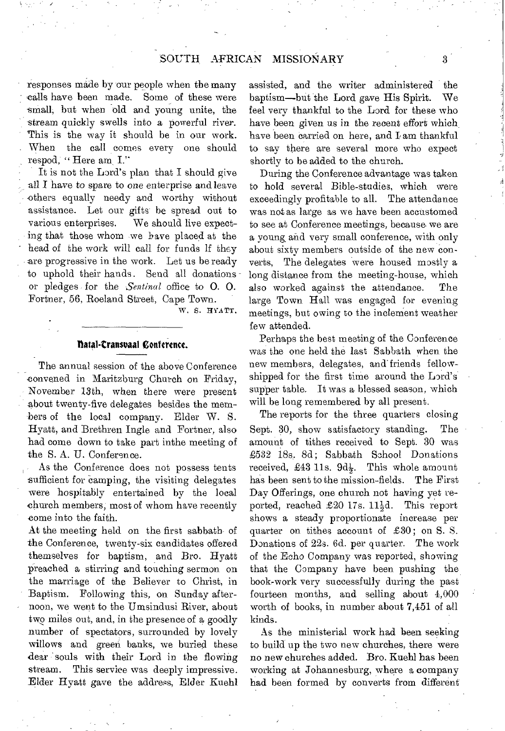responses made by our people when the many - calls have been made. Some of these were small, but when old and young unite, the stream quickly swells into a powerful river. This is the way it should be in our work. When the call comes every one should respod, " Here am I."

It is not the Lord's plan that I should give all I have to spare to one enterprise and leave ethers equally needy and worthy without assistance. Let our gifts be spread out to various enterprises. We should live expecting that those whom we have placed at the head of the work will call for funds if they are progressive in the work. Let us be ready to uphold their hands. Send all donationsor pledges for the *Sentinal* office to 0. 0. Fortner, 56, Roeland Street, Cape Town.

w. S. HYATT.

#### **tlatal•transuaal Conference.**

The annual session of the above Conference convened in Maritzburg Church on Friday, November 13th, when there were present about twenty-five delegates besides the members of the local company. Elder W. S. Hyatt, and Brethren Ingle and Fortner, also had come down to take part inthe meeting of the S. A. U. Conference.

As the Conference does not possess tents sufficient for camping, the visiting delegates were hospitably entertained by the local church members, most of whom have recently come into the faith.

At the meeting held on the first sabbath of the Conference, twenty-six candidates offered themselves for baptism, and Bro. Hyatt preached a stirring and touching sermon on the marriage of the Believer to Christ, in Baptism. Following this, on Sunday afternoon, we went to the Umsindusi River, about two miles out, and, in the presence of a goodly number of spectators, surrounded by lovely willows and green banks, we buried these dear souls with their Lord in the flowing<br>stream. This service was deeply impressive. This service was deeply impressive. Elder Hyatt gave the address, Elder Kuehl assisted, and the writer administered the baptism—but the Lord gave His Spirit. We feel very thankful to the Lord for these who have been given us in the recent effort which have been carried on here, and Lam thankful to say there are several more who expect shortly to be added to the church.

During the Conference advantage was taken to hold several Bible-studies, which were exceedingly profitable to all. The attendance was not as large as we have been accustomed to see at Conference meetings, because we are a young, and very small conference, with only about sixty members outside of the new converts, The delegates were housed mostly a long distance from the meeting-house, which also worked against the attendance. The large Town Hall was engaged for evening meetings, but owing to the inclement weather few attended.

Perhaps the best meeting of the Conference was the one held the last Sabbath when the new members, delegates, and friends fellowshipped for the first time around the Lord's supper table. It was a blessed season, which will be long remembered by all present.

The reports for the three quarters closing Sept. 30, show satisfactory standing. The amount of tithes received to Sept. 30 was £532 18s. 8d; Sabbath School Donations received, £43 11s.  $9d\frac{1}{2}$ . This whole amount has been sent to the mission-fields. The First Day Offerings, one church not having yet reported, reached £20 17s.  $11\frac{1}{2}d$ . This report shows a steady proportionate increase per quarter on tithes account of  $£30$ ; on S. S. Donations of 22s. 6d. per quarter. The work of the Echo Company was reported, showing that the Company have been pushing the book-work very successfully during the past fourteen months, and selling about 4,000 worth of books, in number about 7,451 of all kinds.

As the ministerial work had been seeking to build up the two new churches, there were no new churches added. Bro. Kuehl has been working at Johannesburg, where a company had been formed by converts from different

3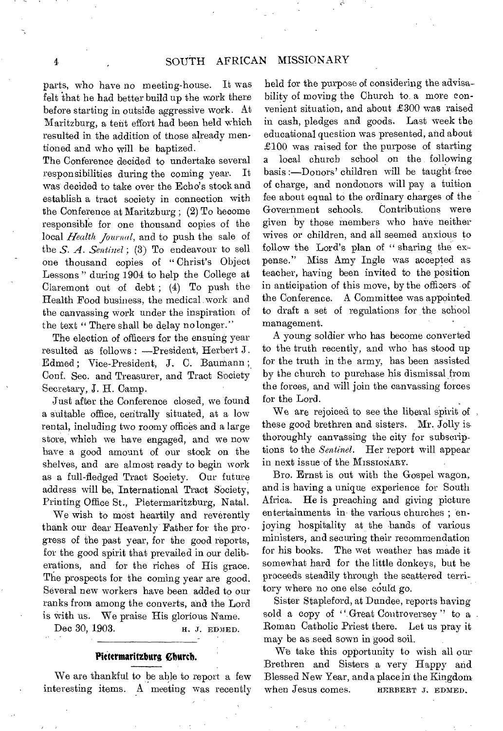parts, who have no meeting-house. It was felt that he had better build up the work there before starting in outside aggressive work. At Maritzburg, a tent effort had been held which resulted in the addition of those already mentioned and who will be baptized.

The Conference decided to undertake several responsibilities during the coming year. was decided to take over the Echo's stock and establish a tract society in connection with the Conference at Maritzburg ; (2) To become responsible for one thousand copies of the local *Health Journal,* and to push the sale of the *S. A. Sentinel ;* (3) To endeavour to sell one thousand copies of " Christ's Object Lessons " during 1904 to help the College at Claremont out of debt ; (4) To push the Health Food business, the medical work and the canvassing work under the inspiration of the text "There shall be delay no longer."

The election of officers for the ensuing year resulted as follows : —President, Herbert J. Edmed; Vice-President, J. C. Baumann; Conf. Sec. and Treasurer, and Tract Society Secretary, J. H. Camp.

Just after the Conference closed, we found a suitable office, centrally situated, at a low rental, including two roomy offices and a large store, which we have engaged, and we now have a good amount of our stock on the shelves, and are almost ready to begin work as a full-fledged Tract Society. Our future address will be, International Tract Society, Printing Office St., Pietermaritzburg, Natal.

We wish to most heartily and reverently thank our dear Heavenly Father for the pro• gress of the past year, for the good reports, for the good spirit that prevailed in our deliberations, and for the riches of His grace. The prospects for the coming year are good. Several new workers have been added to our ranks from among the converts, and the Lord is with us. We praise His glorious Name.

Dec 30, 1903. **H. J. EDMED.** 

#### Pietermaritzburg *Church*.

We are thankful to be able to report a few interesting items. A meeting was recently

held for the purpose of considering the advisability of moving the Church to, a more convenient situation, and about £300 was raised in cash, pledges and goods. Last week the educational question was presented, and about £100 was raised for the purpose of starting a local church school on the following basis :—Donors' children will be taught free of charge, and nondonors will pay a tuition fee about equal to the ordinary charges of the Government schools. Contributions were given by those members who haVe neither wives or children, and all seemed anxious to follow the Lord's plan of " sharing the expense." Miss Amy Ingle was accepted as teacher, having been invited to the position in anticipation of this move, by the officers of the Conference. A Committee was appointed to draft a set of regulations for the school management.

A young soldier who has become converted to the truth recently, and who has stood up for the truth in the army, has been assisted by the church to purchase his dismissal from the forces, and will join the canvassing forces for the Lord.

We are rejoiced to see the liberal spirit of , these good brethren and sisters. Mr. Jolly is. thoroughly canvassing the city for subscriptions to the *Sentinel.* Her report will appear in next issue of the MISSIONARY.

Bro. Ernst is out with the Gospel wagon, and is having a unique experience for South Africa. He is preaching and giving picture entertainments in the various churches ; enjoying hospitality at the hands of various ministers, and securing their recommendation for his books. The wet weather has made it somewhat hard for the little donkeys, but he proceeds steadily through the scattered territory where no one else could go.

Sister Stapleford, at Dundee, reports having sold a copy of " Great Controversey" to a Roman Catholic Priest there. Let us pray it may be as seed sown in 'good soil.

We take this opportunity to wish all our Brethren and Sisters a very Happy and Blessed New Year, and a place in the Kingdom when Jesus comes. HERBERT J. EDMED.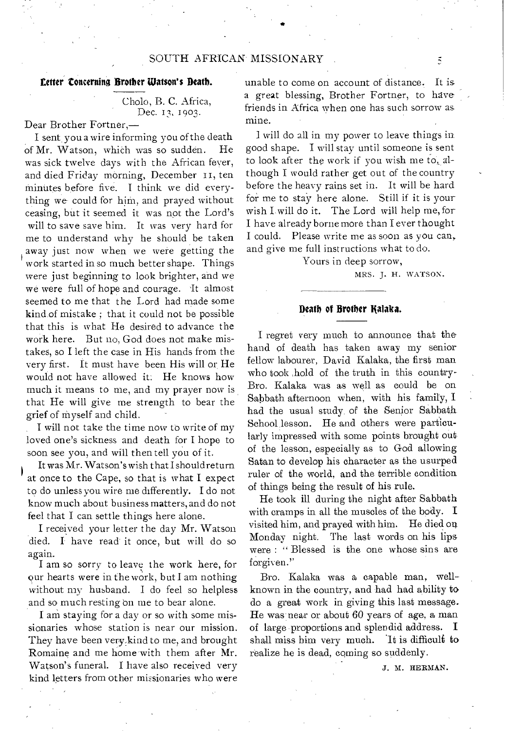#### **Letter Concerning Brother Watson's Death.**

## Cholo, B. C. Africa, Dec. 13, 1903.

Dear Brother Fortner,—

I sent you a wire informing you of the death of Mr. Watson, which was so sudden. He was sick twelve days with the African fever, and died Friday morning, December 11, ten minutes before five. I think we did everything we could for him, and prayed without ceasing, but it seemed it was not the Lord's will to save save him. It was very hard for me to understand why he should be taken away just now when we were getting the work started in so much better shape. Things were just beginning to look brighter, and we we were full of hope and courage. It almost seemed to me that the Lord had made some kind,of mistake ; that it could not be possible that this is what He desired to advance the work here. But no, God does not make mistakes, so I left the case in His hands from the very first. It must have been His will or, He would not have allowed it: He knows how much it means to me, and my prayer now is that He will give me strength to bear the grief of myself and child.

I will not take the time now to write of my loved one's sickness and death for I hope to soon see you, and will then tell you of it.

It was Mr. Watson's wish that I should return at once to the Cape, so that is what I expect to do unless you wire me differently. I do not know much about business matters, and do not feel that I can settle things here alone.

I received your letter the day Mr. Watson died. I have read it once, but will do so again.

I am so sorry to leave the work here, for our hearts were in the work, but I am nothing without my husband. I do feel so helpless and so much resting on me to bear alone.

I am staying for a day or so with some missionaries whose station is near our mission. They have been very kind to me, and brought Romaine and me home with them after Mr. Watson's funeral. I have also received very kind letters from other missionaries who were

unable to come on account of distance. It is a great blessing, Brother Fortner, to have friends in Africa when one has such sorrow as mine.

I will do all in my power to leave things in good shape. I will stay until someone is sent to look after the work if you wish me to, although I would rather get out of the country before the heavy rains set in. It will be hard for me to stay here alone. Still if it is your wish Lwill do it. The Lord will help me, for I have already borne more than I ever thought I could. Please write me as soon as you can, and give me full instructions what to do.

Yours in deep sorrow,

MRS. J. H. WATSON.

#### **Death of Brother Kalaka.**

I regret very much to announce that the hand of death has taken away my senior fellow labourer, David Kalaka, the first man who took ,hold of the truth in this country-Bro. Kalaka was as well as could be on Sabbath afternoon when, with his family, I had the usual study of the Senior Sabbath School lesson. He and others were particularly impressed with some points brought out of the lesson, especially as to God allowing Satan to develop his character as the usurped ruler of the world, and the terrible condition of things being the result of his rule.

He took ill during the night after Sabbath with cramps in all the muscles of the body. I visited him, and prayed with him. He died on Monday night. The last words on his lips were : " Blessed is the one whose sins are forgiven."

Bro. Kalaka was a capable man, wellknown in the country, and had had ability to do a great work in giving this last message. He was near or about 60 years of age, a man of large proportions and splendid address. I shall miss him very much. 'It is difficult to realize he is dead, coming so suddenly.

J. M. HERMAN.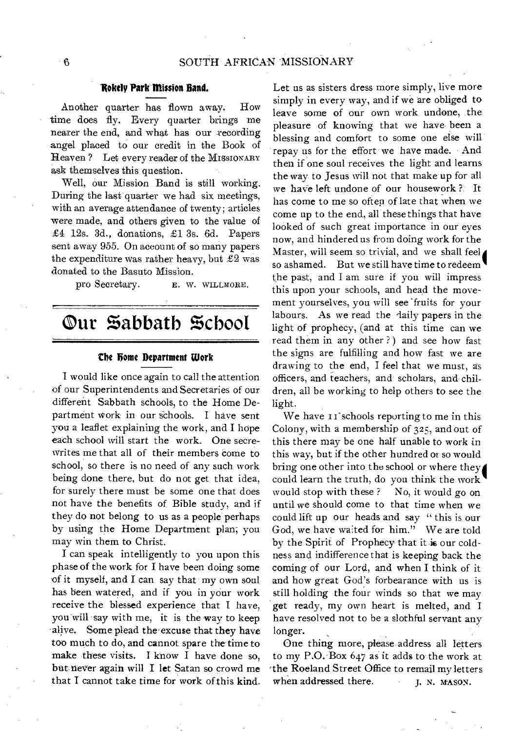## **Addy Park Mission Band.**

Another quarter has flown away. How time does fly. Every quarter brings me nearer the end, and what has our recording angel placed to our credit in the Book of Heaven ? Let every reader of the MISSIONARY ask themselves this question.

Well, our Mission Band is still working. During the last quarter we had six meetings, with an average attendance of twenty; articles were made, and others given to the value of £4 12s. 3d., donations, £1 3s. 6d. Papers sent away 955. On account of so many papers the expenditure was rather heavy, but  $£2$  was donated to the Basuto Mission.

pro Secretary. E. W. WILLMORE.

## **Our %abbath %choot**

#### **the home Department Work**

I would like once again to call the attention of our Superintendents and Secretaries of our different Sabbath schools, to the Home Department work in our schools. I have sent you a leaflet explaining the work, and I hope each school will start the work. One secrewrites me that all of their members come to school, so there is no need of any such work being done there, but do not get that idea, for surely there must be some one that does not have the benefits of Bible study, and if they do not belong to us as a people perhaps by using the Home Department plan; you may win them to Christ.

I can speak intelligently to you upon this phase of the work for I have been doing some of it myself, and I can say that my own soul has been watered, and if you in your work receive the blessed experience that I have, you will say with me, it is the way to keep alive. Some plead the' excuse that they have too much to do, and cannot spare the time to make these visits. I know I have done so, but never again will I let Satan so crowd me that I cannot take time for work of this kind.

Let us as sisters dress more simply, live more simply in every way, and if we are obliged to leave some of our own work undone, the pleasure of knowing that we have been a blessing and comfort to some one else will repay us for the effort we have made. And then if one soul receives the light and learns the way to Jesus will not that make up for all we have left undone of our housework ?; It has come to me so often of late that when we come up to the end, all these things that have looked of such great importance in our eyes now, and hindered us from doing work for the Master, will seem so trivial, and we shall feel so ashamed. But we still have time to redeem the past, and I am sure if you will impress this upon your schools, and head the movement yourselves, you will see fruits for your labours. As we read the daily papers in the light of prophecy, (and at this time can we read them in any other ? ) and see how fast the signs are fulfilling and how fast we are drawing to the end, I feel that we must, as officers, and teachers, and scholars, and-children, all be working to help others to see the light.

We have II schools reporting to me in this Colony, with a membership of 325, and out of this there may be one half unable to work in this way, but if the other hundred or so would Colony, with a membership of 325, and out of<br>this there may be one half unable to work in<br>this way, but if the other hundred or so would<br>bring one other into the school or where they<br>could learn the truth, do you think th would stop with these ? No, it would go on until we should come to that time when we could lift up our heads and say " this is our God, we have waited for him." We are told by the Spirit of Prophecy that it is our coldness and indifference that is keeping back the coming of our Lord, and when I think of it and how great God's forbearance with us is still holding the four winds so that we may get ready, my own heart is melted, and I have resolved not to be a slothful servant any longer.

One thing more, please address all letters to my P.O. Box 647 as it adds to the work at 'the Roeland Street Office to remail my letters when addressed there. **j. N. MASON.**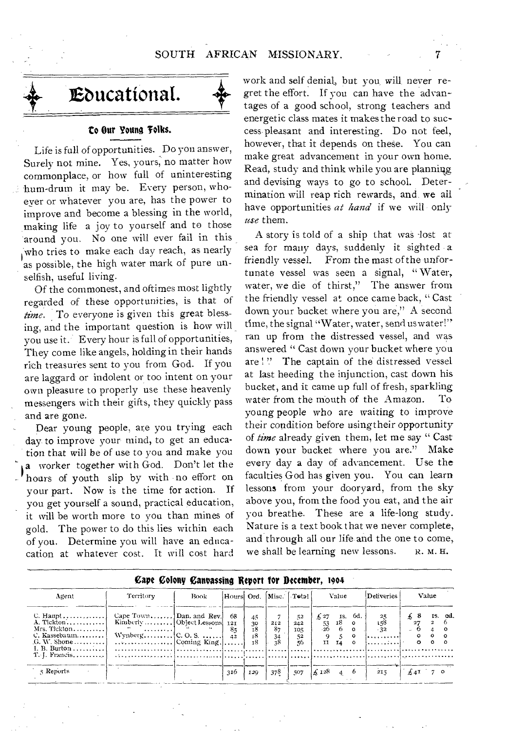

## **to Our Young 'folks.**

Life is full of opportunities. Do you answer, Surely not mine. Yes, yours, no matter how commonplace, or how full of uninteresting hum-drum it may be. Every person, whoever or whatever you are, has the power to improve and become a blessing in the world, making life a joy to yourself and to those around you. No one will ever fail in this who tries to make each day reach, as nearly as possible, the high water mark of pure unselfish, useful living.

Of the commonest, and oftimes most lightly regarded of these opportunities, is that of *time.* To everyone is given this great blessing, and the important question is how will you use it. Every hour is full of opportunities, They come like angels, holding in their hands rich treasures sent to you from God. If you are laggard or indolent or too intent on your own pleasure to properly use these heavenly messengers with their gifts, they quickly pass and are gone.

Dear young people, are you trying each day to improve your mind, to get an education that will be of use to you and make you a worker together with God. Don't let the hours of youth slip by with no effort on your part. Now is the time for action. If you get yourself a sound, practical education, it will be worth more to you than mines of gold. The power to do this lies within each of you. Determine you will have an educacation at whatever cost. It will cost hard

work and self denial, but you, will never regret the effort. If you can have the advantages of a good school, strong teachers and energetic class mates it makes the road to success, pleasant and interesting. Do not feel, however, that it depends on these. You can make great advancement in your own home. Read, study and think while you are planning and devising ways to go to school. Determination will reap rich rewards, and we ail have opportunities *at hand* if we will only *use* them.

A story is told of a ship that was -lost at sea for many days, suddenly it sighted a friendly vessel. From the mast of the unfortunate vessel was seen a signal, " Water, water, we die of thirst," The answer from the friendly vessel at once came back, " Cast down your bucket where you are," A second time, the signal "Water, water, send us water!" ran up from the distressed vessel, and was answered " Cast down your bucket where you are !" The captain of the distressed vessel at last heeding the injunction, cast down his bucket, and it came up full of fresh, sparkling water from the mouth of the Amazon. To young people who are waiting to improve their condition before using their opportunity of *time* already given them, let me say " Cast down your bucket where you are." Make every day a day of advancement. Use the faculties God has given you. You can learn lessons from your dooryard, from the sky above you, from the food you eat, and the air you breathe. These are a life-long study. Nature is a text book that we never complete, and through all our life and the one to come, we shall be learning new lessons. R. M. H.

| Cape Colony Canvassing Report for December, 1904                                              |                                                           |             |                             |                                                      |                                   |                              |                                       |            |                                             |                                                 |               |                     |                                       |          |
|-----------------------------------------------------------------------------------------------|-----------------------------------------------------------|-------------|-----------------------------|------------------------------------------------------|-----------------------------------|------------------------------|---------------------------------------|------------|---------------------------------------------|-------------------------------------------------|---------------|---------------------|---------------------------------------|----------|
| Agent                                                                                         | Territory                                                 | <b>Book</b> | Hours Ord.                  |                                                      |                                   | Misc. Total                  |                                       | Value      |                                             | Deliveries <sup>1</sup>                         | Value         |                     |                                       |          |
| C. Haupt<br>$A.$ Tickton<br>Mrs. Tickton<br>C. Kassebaum<br>$G. W.$ Shone<br>$T, T$ . Francis | Cape Town] Dan. and Rev.<br>التنبيب<br>WynbergC.O.S.<br>. |             | 68<br>121<br>8 <sub>5</sub> | $45^{\circ}$<br>30<br><sup>18</sup><br>$_{18}$<br>τ8 | 212<br>87<br>$\frac{34}{38}$<br>. | 52<br>242<br>105<br>52<br>56 | $\pm 27$<br>$\frac{53}{26}$<br>9<br>H | 18 o<br>14 | $\mathbf{1}$ s. 6d.,<br>$\Omega$<br>$\circ$ | $\frac{25}{158}$<br>$-32$<br>.<br>المعتقد ووودا | $\pm$ 8<br>27 | $\Omega$<br>$\circ$ | IS. od.<br>$\mathbf{2}$<br>$^{\circ}$ | ം<br>- 0 |
| 3 Reports                                                                                     |                                                           |             | 316                         | I 20                                                 | 378                               | 507                          | $\frac{1}{26}$ 128                    | $4\quad 6$ |                                             | 215                                             |               | £4I70               |                                       |          |